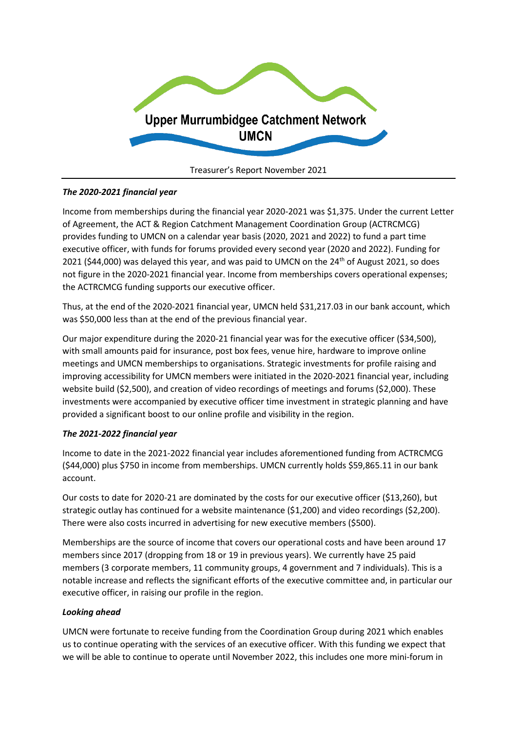

## *The 2020-2021 financial year*

Income from memberships during the financial year 2020-2021 was \$1,375. Under the current Letter of Agreement, the ACT & Region Catchment Management Coordination Group (ACTRCMCG) provides funding to UMCN on a calendar year basis (2020, 2021 and 2022) to fund a part time executive officer, with funds for forums provided every second year (2020 and 2022). Funding for 2021 (\$44,000) was delayed this year, and was paid to UMCN on the  $24<sup>th</sup>$  of August 2021, so does not figure in the 2020-2021 financial year. Income from memberships covers operational expenses; the ACTRCMCG funding supports our executive officer.

Thus, at the end of the 2020-2021 financial year, UMCN held \$31,217.03 in our bank account, which was \$50,000 less than at the end of the previous financial year.

Our major expenditure during the 2020-21 financial year was for the executive officer (\$34,500), with small amounts paid for insurance, post box fees, venue hire, hardware to improve online meetings and UMCN memberships to organisations. Strategic investments for profile raising and improving accessibility for UMCN members were initiated in the 2020-2021 financial year, including website build (\$2,500), and creation of video recordings of meetings and forums (\$2,000). These investments were accompanied by executive officer time investment in strategic planning and have provided a significant boost to our online profile and visibility in the region.

## *The 2021-2022 financial year*

Income to date in the 2021-2022 financial year includes aforementioned funding from ACTRCMCG (\$44,000) plus \$750 in income from memberships. UMCN currently holds \$59,865.11 in our bank account.

Our costs to date for 2020-21 are dominated by the costs for our executive officer (\$13,260), but strategic outlay has continued for a website maintenance (\$1,200) and video recordings (\$2,200). There were also costs incurred in advertising for new executive members (\$500).

Memberships are the source of income that covers our operational costs and have been around 17 members since 2017 (dropping from 18 or 19 in previous years). We currently have 25 paid members (3 corporate members, 11 community groups, 4 government and 7 individuals). This is a notable increase and reflects the significant efforts of the executive committee and, in particular our executive officer, in raising our profile in the region.

## *Looking ahead*

UMCN were fortunate to receive funding from the Coordination Group during 2021 which enables us to continue operating with the services of an executive officer. With this funding we expect that we will be able to continue to operate until November 2022, this includes one more mini-forum in